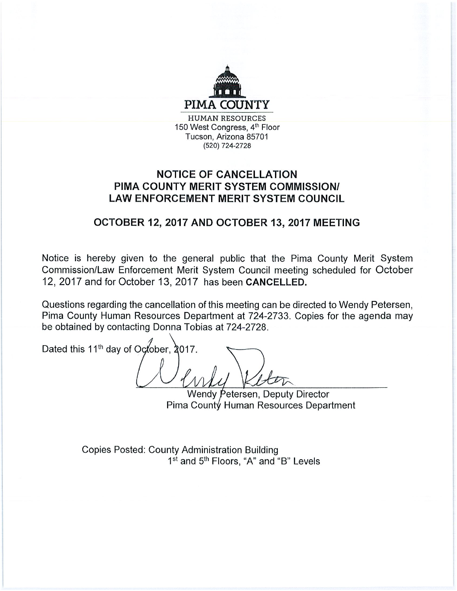

## **NOTICE OF CANCELLATION** PIMA COUNTY MERIT SYSTEM COMMISSION/ **LAW ENFORCEMENT MERIT SYSTEM COUNCIL**

# OCTOBER 12, 2017 AND OCTOBER 13, 2017 MEETING

Notice is hereby given to the general public that the Pima County Merit System Commission/Law Enforcement Merit System Council meeting scheduled for October 12, 2017 and for October 13, 2017 has been CANCELLED.

Questions regarding the cancellation of this meeting can be directed to Wendy Petersen, Pima County Human Resources Department at 724-2733. Copies for the agenda may be obtained by contacting Donna Tobias at 724-2728.

Dated this 11<sup>th</sup> day of October, 2017.

Wendy Petersen, Deputy Director Pima County Human Resources Department

**Copies Posted: County Administration Building** 1<sup>st</sup> and 5<sup>th</sup> Floors, "A" and "B" Levels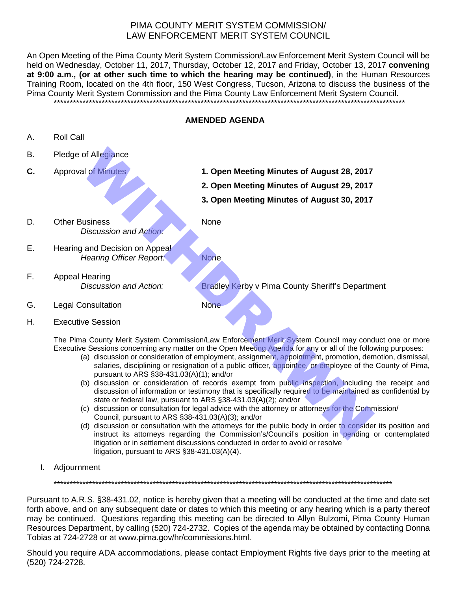## PIMA COUNTY MERIT SYSTEM COMMISSION/ LAW ENFORCEMENT MERIT SYSTEM COUNCIL

An Open Meeting of the Pima County Merit System Commission/Law Enforcement Merit System Council will be held on Wednesday, October 11, 2017, Thursday, October 12, 2017 and Friday, October 13, 2017 **convening at 9:00 a.m., (or at other such time to which the hearing may be continued)**, in the Human Resources Training Room, located on the 4th floor, 150 West Congress, Tucson, Arizona to discuss the business of the Pima County Merit System Commission and the Pima County Law Enforcement Merit System Council. \*\*\*\*\*\*\*\*\*\*\*\*\*\*\*\*\*\*\*\*\*\*\*\*\*\*\*\*\*\*\*\*\*\*\*\*\*\*\*\*\*\*\*\*\*\*\*\*\*\*\*\*\*\*\*\*\*\*\*\*\*\*\*\*\*\*\*\*\*\*\*\*\*\*\*\*\*\*\*\*\*\*\*\*\*\*\*\*\*\*\*\*\*\*\*\*\*\*\*\*\*\*\*\*\*\*\*\*\*\*

#### **AMENDED AGENDA**

- A. Roll Call
- B. Pledge of Allegiance
- 
- **C.** Approval of Minutes **1. Open Meeting Minutes of August 28, 2017**
	- **2. Open Meeting Minutes of August 29, 2017**
	- **3. Open Meeting Minutes of August 30, 2017**
- D. Other Business None *Discussion and Action:*

E. Hearing and Decision on Appeal *Hearing Officer Report:* None

G. Legal Consultation None

F. Appeal Hearing

*Discussion and Action:* Bradley Kerby v Pima County Sheriff's Department

H. Executive Session

The Pima County Merit System Commission/Law Enforcement Merit System Council may conduct one or more Executive Sessions concerning any matter on the Open Meeting Agenda for any or all of the following purposes:

- (a) discussion or consideration of employment, assignment, appointment, promotion, demotion, dismissal, salaries, disciplining or resignation of a public officer, appointee, or employee of the County of Pima, pursuant to ARS §38-431.03(A)(1); and/or
- (b) discussion or consideration of records exempt from public inspection, including the receipt and discussion of information or testimony that is specifically required to be maintained as confidential by state or federal law, pursuant to ARS §38-431.03(A)(2); and/or of Allegiance<br>
al of Minutes<br>
26, 2017<br>
2. Open Meeting Minutes of August 28, 2017<br>
2. Open Meeting Minutes of August 29, 2017<br>
3. Open Meeting Minutes of August 30, 2017<br>
3. Open Meeting Minutes of August 30, 2017<br>
3. Ope
- (c) discussion or consultation for legal advice with the attorney or attorneys for the Commission/ Council, pursuant to ARS §38-431.03(A)(3); and/or
- (d) discussion or consultation with the attorneys for the public body in order to consider its position and instruct its attorneys regarding the Commission's/Council's position in pending or contemplated litigation or in settlement discussions conducted in order to avoid or resolve litigation, pursuant to ARS §38-431.03(A)(4).
- I. Adjournment

\*\*\*\*\*\*\*\*\*\*\*\*\*\*\*\*\*\*\*\*\*\*\*\*\*\*\*\*\*\*\*\*\*\*\*\*\*\*\*\*\*\*\*\*\*\*\*\*\*\*\*\*\*\*\*\*\*\*\*\*\*\*\*\*\*\*\*\*\*\*\*\*\*\*\*\*\*\*\*\*\*\*\*\*\*\*\*\*\*\*\*\*\*\*\*\*\*\*\*\*\*\*\*\*\*\*

Pursuant to A.R.S. §38-431.02, notice is hereby given that a meeting will be conducted at the time and date set forth above, and on any subsequent date or dates to which this meeting or any hearing which is a party thereof may be continued. Questions regarding this meeting can be directed to Allyn Bulzomi, Pima County Human Resources Department, by calling (520) 724-2732. Copies of the agenda may be obtained by contacting Donna Tobias at 724-2728 or at www.pima.gov/hr/commissions.html.

Should you require ADA accommodations, please contact Employment Rights five days prior to the meeting at (520) 724-2728.